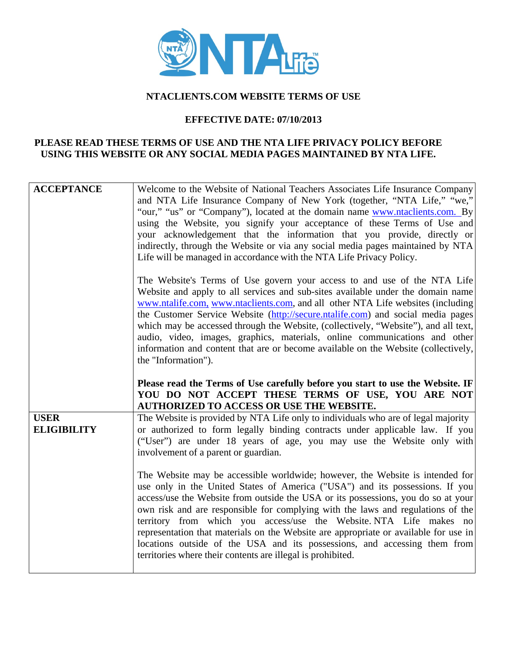

## **NTACLIENTS.COM WEBSITE TERMS OF USE**

## **EFFECTIVE DATE: 07/10/2013**

## **PLEASE READ THESE TERMS OF USE AND THE NTA LIFE PRIVACY POLICY BEFORE USING THIS WEBSITE OR ANY SOCIAL MEDIA PAGES MAINTAINED BY NTA LIFE.**

| <b>ACCEPTANCE</b>                 | Welcome to the Website of National Teachers Associates Life Insurance Company<br>and NTA Life Insurance Company of New York (together, "NTA Life," "we,"<br>"our," "us" or "Company"), located at the domain name www.ntaclients.com. By<br>using the Website, you signify your acceptance of these Terms of Use and<br>your acknowledgement that the information that you provide, directly or<br>indirectly, through the Website or via any social media pages maintained by NTA<br>Life will be managed in accordance with the NTA Life Privacy Policy.                                                                                      |
|-----------------------------------|-------------------------------------------------------------------------------------------------------------------------------------------------------------------------------------------------------------------------------------------------------------------------------------------------------------------------------------------------------------------------------------------------------------------------------------------------------------------------------------------------------------------------------------------------------------------------------------------------------------------------------------------------|
|                                   | The Website's Terms of Use govern your access to and use of the NTA Life<br>Website and apply to all services and sub-sites available under the domain name<br>www.ntalife.com, www.ntaclients.com, and all other NTA Life websites (including<br>the Customer Service Website (http://secure.ntalife.com) and social media pages<br>which may be accessed through the Website, (collectively, "Website"), and all text,<br>audio, video, images, graphics, materials, online communications and other<br>information and content that are or become available on the Website (collectively,<br>the "Information").                             |
|                                   | Please read the Terms of Use carefully before you start to use the Website. IF<br>YOU DO NOT ACCEPT THESE TERMS OF USE, YOU ARE NOT<br><b>AUTHORIZED TO ACCESS OR USE THE WEBSITE.</b>                                                                                                                                                                                                                                                                                                                                                                                                                                                          |
| <b>USER</b><br><b>ELIGIBILITY</b> | The Website is provided by NTA Life only to individuals who are of legal majority<br>or authorized to form legally binding contracts under applicable law. If you<br>("User") are under 18 years of age, you may use the Website only with<br>involvement of a parent or guardian.                                                                                                                                                                                                                                                                                                                                                              |
|                                   | The Website may be accessible worldwide; however, the Website is intended for<br>use only in the United States of America ("USA") and its possessions. If you<br>access/use the Website from outside the USA or its possessions, you do so at your<br>own risk and are responsible for complying with the laws and regulations of the<br>territory from which you access/use the Website. NTA Life makes no<br>representation that materials on the Website are appropriate or available for use in<br>locations outside of the USA and its possessions, and accessing them from<br>territories where their contents are illegal is prohibited. |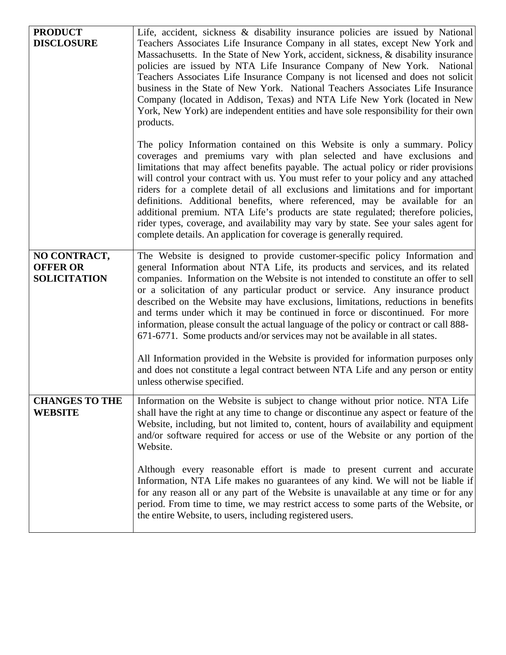| <b>PRODUCT</b>        | Life, accident, sickness & disability insurance policies are issued by National                                                                                           |
|-----------------------|---------------------------------------------------------------------------------------------------------------------------------------------------------------------------|
| <b>DISCLOSURE</b>     | Teachers Associates Life Insurance Company in all states, except New York and                                                                                             |
|                       | Massachusetts. In the State of New York, accident, sickness, & disability insurance<br>policies are issued by NTA Life Insurance Company of New York. National            |
|                       | Teachers Associates Life Insurance Company is not licensed and does not solicit                                                                                           |
|                       | business in the State of New York. National Teachers Associates Life Insurance                                                                                            |
|                       | Company (located in Addison, Texas) and NTA Life New York (located in New<br>York, New York) are independent entities and have sole responsibility for their own          |
|                       | products.                                                                                                                                                                 |
|                       | The policy Information contained on this Website is only a summary. Policy                                                                                                |
|                       | coverages and premiums vary with plan selected and have exclusions and<br>limitations that may affect benefits payable. The actual policy or rider provisions             |
|                       | will control your contract with us. You must refer to your policy and any attached                                                                                        |
|                       | riders for a complete detail of all exclusions and limitations and for important<br>definitions. Additional benefits, where referenced, may be available for an           |
|                       | additional premium. NTA Life's products are state regulated; therefore policies,                                                                                          |
|                       | rider types, coverage, and availability may vary by state. See your sales agent for                                                                                       |
|                       | complete details. An application for coverage is generally required.                                                                                                      |
| NO CONTRACT,          | The Website is designed to provide customer-specific policy Information and                                                                                               |
| <b>OFFER OR</b>       | general Information about NTA Life, its products and services, and its related                                                                                            |
| <b>SOLICITATION</b>   | companies. Information on the Website is not intended to constitute an offer to sell<br>or a solicitation of any particular product or service. Any insurance product     |
|                       | described on the Website may have exclusions, limitations, reductions in benefits                                                                                         |
|                       | and terms under which it may be continued in force or discontinued. For more<br>information, please consult the actual language of the policy or contract or call 888-    |
|                       | 671-6771. Some products and/or services may not be available in all states.                                                                                               |
|                       |                                                                                                                                                                           |
|                       | All Information provided in the Website is provided for information purposes only<br>and does not constitute a legal contract between NTA Life and any person or entity   |
|                       | unless otherwise specified.                                                                                                                                               |
| <b>CHANGES TO THE</b> | Information on the Website is subject to change without prior notice. NTA Life                                                                                            |
| <b>WEBSITE</b>        | shall have the right at any time to change or discontinue any aspect or feature of the                                                                                    |
|                       | Website, including, but not limited to, content, hours of availability and equipment<br>and/or software required for access or use of the Website or any portion of the   |
|                       | Website.                                                                                                                                                                  |
|                       | Although every reasonable effort is made to present current and accurate                                                                                                  |
|                       | Information, NTA Life makes no guarantees of any kind. We will not be liable if                                                                                           |
|                       | for any reason all or any part of the Website is unavailable at any time or for any<br>period. From time to time, we may restrict access to some parts of the Website, or |
|                       | the entire Website, to users, including registered users.                                                                                                                 |
|                       |                                                                                                                                                                           |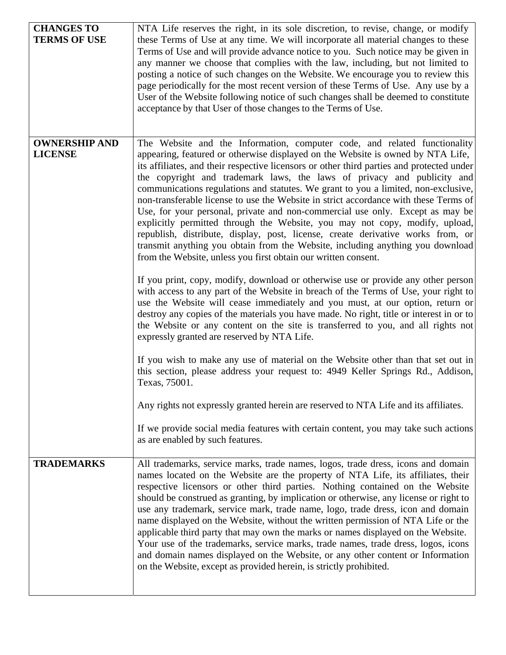| <b>CHANGES TO</b><br><b>TERMS OF USE</b> | NTA Life reserves the right, in its sole discretion, to revise, change, or modify<br>these Terms of Use at any time. We will incorporate all material changes to these<br>Terms of Use and will provide advance notice to you. Such notice may be given in<br>any manner we choose that complies with the law, including, but not limited to<br>posting a notice of such changes on the Website. We encourage you to review this<br>page periodically for the most recent version of these Terms of Use. Any use by a<br>User of the Website following notice of such changes shall be deemed to constitute<br>acceptance by that User of those changes to the Terms of Use.                                                                                                                                                                                                                                                                                                                                                                                                                                                                                                                                                                                                                                                                                                                                                                                                                                                                                                                                                                                                                                                                                                                 |
|------------------------------------------|----------------------------------------------------------------------------------------------------------------------------------------------------------------------------------------------------------------------------------------------------------------------------------------------------------------------------------------------------------------------------------------------------------------------------------------------------------------------------------------------------------------------------------------------------------------------------------------------------------------------------------------------------------------------------------------------------------------------------------------------------------------------------------------------------------------------------------------------------------------------------------------------------------------------------------------------------------------------------------------------------------------------------------------------------------------------------------------------------------------------------------------------------------------------------------------------------------------------------------------------------------------------------------------------------------------------------------------------------------------------------------------------------------------------------------------------------------------------------------------------------------------------------------------------------------------------------------------------------------------------------------------------------------------------------------------------------------------------------------------------------------------------------------------------|
| <b>OWNERSHIP AND</b><br><b>LICENSE</b>   | The Website and the Information, computer code, and related functionality<br>appearing, featured or otherwise displayed on the Website is owned by NTA Life,<br>its affiliates, and their respective licensors or other third parties and protected under<br>the copyright and trademark laws, the laws of privacy and publicity and<br>communications regulations and statutes. We grant to you a limited, non-exclusive,<br>non-transferable license to use the Website in strict accordance with these Terms of<br>Use, for your personal, private and non-commercial use only. Except as may be<br>explicitly permitted through the Website, you may not copy, modify, upload,<br>republish, distribute, display, post, license, create derivative works from, or<br>transmit anything you obtain from the Website, including anything you download<br>from the Website, unless you first obtain our written consent.<br>If you print, copy, modify, download or otherwise use or provide any other person<br>with access to any part of the Website in breach of the Terms of Use, your right to<br>use the Website will cease immediately and you must, at our option, return or<br>destroy any copies of the materials you have made. No right, title or interest in or to<br>the Website or any content on the site is transferred to you, and all rights not<br>expressly granted are reserved by NTA Life.<br>If you wish to make any use of material on the Website other than that set out in<br>this section, please address your request to: 4949 Keller Springs Rd., Addison,<br>Texas, 75001.<br>Any rights not expressly granted herein are reserved to NTA Life and its affiliates.<br>If we provide social media features with certain content, you may take such actions |
|                                          | as are enabled by such features.                                                                                                                                                                                                                                                                                                                                                                                                                                                                                                                                                                                                                                                                                                                                                                                                                                                                                                                                                                                                                                                                                                                                                                                                                                                                                                                                                                                                                                                                                                                                                                                                                                                                                                                                                             |
| <b>TRADEMARKS</b>                        | All trademarks, service marks, trade names, logos, trade dress, icons and domain<br>names located on the Website are the property of NTA Life, its affiliates, their<br>respective licensors or other third parties. Nothing contained on the Website<br>should be construed as granting, by implication or otherwise, any license or right to<br>use any trademark, service mark, trade name, logo, trade dress, icon and domain<br>name displayed on the Website, without the written permission of NTA Life or the<br>applicable third party that may own the marks or names displayed on the Website.<br>Your use of the trademarks, service marks, trade names, trade dress, logos, icons<br>and domain names displayed on the Website, or any other content or Information<br>on the Website, except as provided herein, is strictly prohibited.                                                                                                                                                                                                                                                                                                                                                                                                                                                                                                                                                                                                                                                                                                                                                                                                                                                                                                                                       |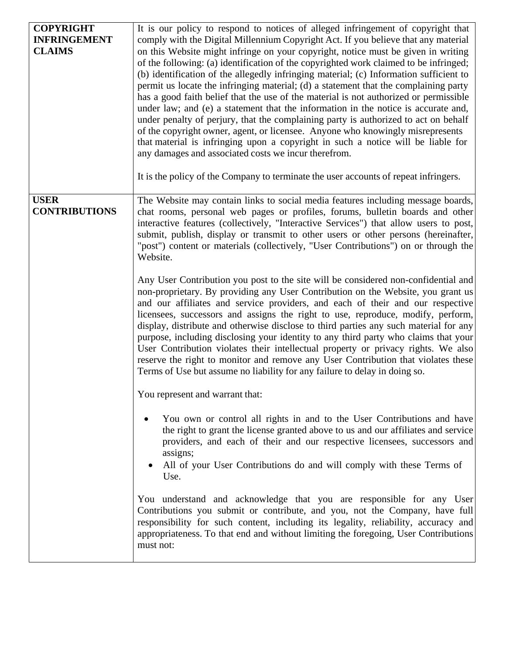| <b>COPYRIGHT</b><br><b>INFRINGEMENT</b><br><b>CLAIMS</b> | It is our policy to respond to notices of alleged infringement of copyright that<br>comply with the Digital Millennium Copyright Act. If you believe that any material<br>on this Website might infringe on your copyright, notice must be given in writing<br>of the following: (a) identification of the copyrighted work claimed to be infringed;<br>(b) identification of the allegedly infringing material; (c) Information sufficient to<br>permit us locate the infringing material; (d) a statement that the complaining party<br>has a good faith belief that the use of the material is not authorized or permissible<br>under law; and (e) a statement that the information in the notice is accurate and,<br>under penalty of perjury, that the complaining party is authorized to act on behalf<br>of the copyright owner, agent, or licensee. Anyone who knowingly misrepresents<br>that material is infringing upon a copyright in such a notice will be liable for<br>any damages and associated costs we incur therefrom.<br>It is the policy of the Company to terminate the user accounts of repeat infringers.                                                                                                         |
|----------------------------------------------------------|--------------------------------------------------------------------------------------------------------------------------------------------------------------------------------------------------------------------------------------------------------------------------------------------------------------------------------------------------------------------------------------------------------------------------------------------------------------------------------------------------------------------------------------------------------------------------------------------------------------------------------------------------------------------------------------------------------------------------------------------------------------------------------------------------------------------------------------------------------------------------------------------------------------------------------------------------------------------------------------------------------------------------------------------------------------------------------------------------------------------------------------------------------------------------------------------------------------------------------------------|
| <b>USER</b><br><b>CONTRIBUTIONS</b>                      | The Website may contain links to social media features including message boards,<br>chat rooms, personal web pages or profiles, forums, bulletin boards and other<br>interactive features (collectively, "Interactive Services") that allow users to post,<br>submit, publish, display or transmit to other users or other persons (hereinafter,<br>"post") content or materials (collectively, "User Contributions") on or through the<br>Website.<br>Any User Contribution you post to the site will be considered non-confidential and<br>non-proprietary. By providing any User Contribution on the Website, you grant us<br>and our affiliates and service providers, and each of their and our respective<br>licensees, successors and assigns the right to use, reproduce, modify, perform,<br>display, distribute and otherwise disclose to third parties any such material for any<br>purpose, including disclosing your identity to any third party who claims that your<br>User Contribution violates their intellectual property or privacy rights. We also<br>reserve the right to monitor and remove any User Contribution that violates these<br>Terms of Use but assume no liability for any failure to delay in doing so. |
|                                                          | You represent and warrant that:<br>You own or control all rights in and to the User Contributions and have<br>the right to grant the license granted above to us and our affiliates and service<br>providers, and each of their and our respective licensees, successors and<br>assigns;<br>All of your User Contributions do and will comply with these Terms of<br>Use.<br>You understand and acknowledge that you are responsible for any User<br>Contributions you submit or contribute, and you, not the Company, have full<br>responsibility for such content, including its legality, reliability, accuracy and<br>appropriateness. To that end and without limiting the foregoing, User Contributions<br>must not:                                                                                                                                                                                                                                                                                                                                                                                                                                                                                                                 |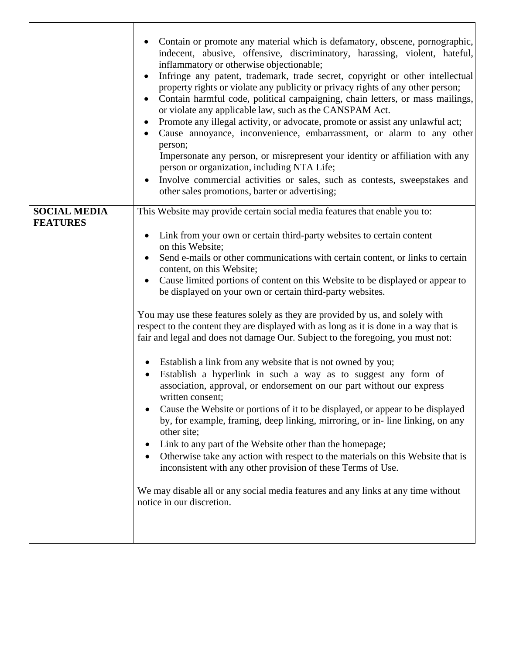|                     | Contain or promote any material which is defamatory, obscene, pornographic,<br>indecent, abusive, offensive, discriminatory, harassing, violent, hateful,<br>inflammatory or otherwise objectionable;<br>Infringe any patent, trademark, trade secret, copyright or other intellectual<br>property rights or violate any publicity or privacy rights of any other person;<br>Contain harmful code, political campaigning, chain letters, or mass mailings,<br>$\bullet$<br>or violate any applicable law, such as the CANSPAM Act.<br>Promote any illegal activity, or advocate, promote or assist any unlawful act;<br>Cause annoyance, inconvenience, embarrassment, or alarm to any other<br>person;<br>Impersonate any person, or misrepresent your identity or affiliation with any<br>person or organization, including NTA Life;<br>Involve commercial activities or sales, such as contests, sweepstakes and<br>other sales promotions, barter or advertising;                                                                                                                                                                                                                                                                                                                                                                                               |
|---------------------|----------------------------------------------------------------------------------------------------------------------------------------------------------------------------------------------------------------------------------------------------------------------------------------------------------------------------------------------------------------------------------------------------------------------------------------------------------------------------------------------------------------------------------------------------------------------------------------------------------------------------------------------------------------------------------------------------------------------------------------------------------------------------------------------------------------------------------------------------------------------------------------------------------------------------------------------------------------------------------------------------------------------------------------------------------------------------------------------------------------------------------------------------------------------------------------------------------------------------------------------------------------------------------------------------------------------------------------------------------------------|
| <b>SOCIAL MEDIA</b> | This Website may provide certain social media features that enable you to:                                                                                                                                                                                                                                                                                                                                                                                                                                                                                                                                                                                                                                                                                                                                                                                                                                                                                                                                                                                                                                                                                                                                                                                                                                                                                           |
| <b>FEATURES</b>     | Link from your own or certain third-party websites to certain content<br>on this Website;<br>Send e-mails or other communications with certain content, or links to certain<br>content, on this Website;<br>Cause limited portions of content on this Website to be displayed or appear to<br>be displayed on your own or certain third-party websites.<br>You may use these features solely as they are provided by us, and solely with<br>respect to the content they are displayed with as long as it is done in a way that is<br>fair and legal and does not damage Our. Subject to the foregoing, you must not:<br>Establish a link from any website that is not owned by you;<br>Establish a hyperlink in such a way as to suggest any form of<br>association, approval, or endorsement on our part without our express<br>written consent;<br>Cause the Website or portions of it to be displayed, or appear to be displayed<br>by, for example, framing, deep linking, mirroring, or in-line linking, on any<br>other site;<br>Link to any part of the Website other than the homepage;<br>Otherwise take any action with respect to the materials on this Website that is<br>inconsistent with any other provision of these Terms of Use.<br>We may disable all or any social media features and any links at any time without<br>notice in our discretion. |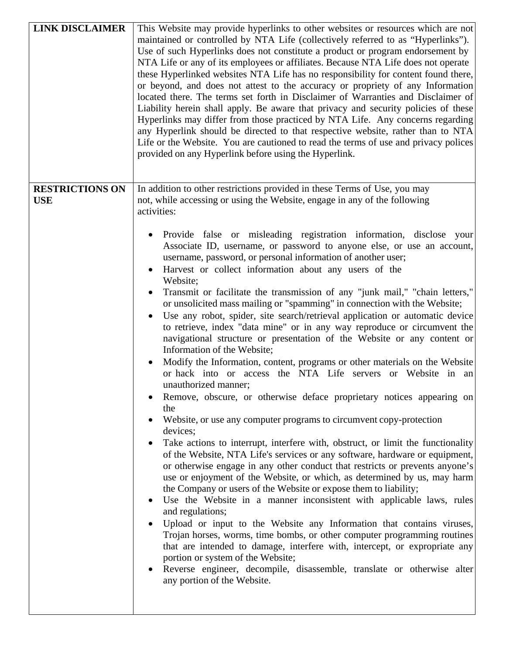| <b>LINK DISCLAIMER</b>               | This Website may provide hyperlinks to other websites or resources which are not<br>maintained or controlled by NTA Life (collectively referred to as "Hyperlinks").<br>Use of such Hyperlinks does not constitute a product or program endorsement by<br>NTA Life or any of its employees or affiliates. Because NTA Life does not operate<br>these Hyperlinked websites NTA Life has no responsibility for content found there,<br>or beyond, and does not attest to the accuracy or propriety of any Information<br>located there. The terms set forth in Disclaimer of Warranties and Disclaimer of<br>Liability herein shall apply. Be aware that privacy and security policies of these<br>Hyperlinks may differ from those practiced by NTA Life. Any concerns regarding<br>any Hyperlink should be directed to that respective website, rather than to NTA<br>Life or the Website. You are cautioned to read the terms of use and privacy polices<br>provided on any Hyperlink before using the Hyperlink.                                                                                                                                                                                                                                                                                                                                                                                                                                                                                                                                                                                                                                                                                                                                                                                                                                                                                                                                                                                                                                                                                                      |
|--------------------------------------|-------------------------------------------------------------------------------------------------------------------------------------------------------------------------------------------------------------------------------------------------------------------------------------------------------------------------------------------------------------------------------------------------------------------------------------------------------------------------------------------------------------------------------------------------------------------------------------------------------------------------------------------------------------------------------------------------------------------------------------------------------------------------------------------------------------------------------------------------------------------------------------------------------------------------------------------------------------------------------------------------------------------------------------------------------------------------------------------------------------------------------------------------------------------------------------------------------------------------------------------------------------------------------------------------------------------------------------------------------------------------------------------------------------------------------------------------------------------------------------------------------------------------------------------------------------------------------------------------------------------------------------------------------------------------------------------------------------------------------------------------------------------------------------------------------------------------------------------------------------------------------------------------------------------------------------------------------------------------------------------------------------------------------------------------------------------------------------------------------------------------|
| <b>RESTRICTIONS ON</b><br><b>USE</b> | In addition to other restrictions provided in these Terms of Use, you may<br>not, while accessing or using the Website, engage in any of the following<br>activities:<br>Provide false or misleading registration information, disclose your<br>Associate ID, username, or password to anyone else, or use an account,<br>username, password, or personal information of another user;<br>Harvest or collect information about any users of the<br>Website;<br>Transmit or facilitate the transmission of any "junk mail," "chain letters,"<br>or unsolicited mass mailing or "spamming" in connection with the Website;<br>Use any robot, spider, site search/retrieval application or automatic device<br>to retrieve, index "data mine" or in any way reproduce or circumvent the<br>navigational structure or presentation of the Website or any content or<br>Information of the Website;<br>Modify the Information, content, programs or other materials on the Website<br>or hack into or access the NTA Life servers or Website in an<br>unauthorized manner;<br>Remove, obscure, or otherwise deface proprietary notices appearing on<br>the<br>Website, or use any computer programs to circumvent copy-protection<br>devices;<br>Take actions to interrupt, interfere with, obstruct, or limit the functionality<br>of the Website, NTA Life's services or any software, hardware or equipment,<br>or otherwise engage in any other conduct that restricts or prevents anyone's<br>use or enjoyment of the Website, or which, as determined by us, may harm<br>the Company or users of the Website or expose them to liability;<br>Use the Website in a manner inconsistent with applicable laws, rules<br>and regulations;<br>Upload or input to the Website any Information that contains viruses,<br>Trojan horses, worms, time bombs, or other computer programming routines<br>that are intended to damage, interfere with, intercept, or expropriate any<br>portion or system of the Website;<br>Reverse engineer, decompile, disassemble, translate or otherwise alter<br>any portion of the Website. |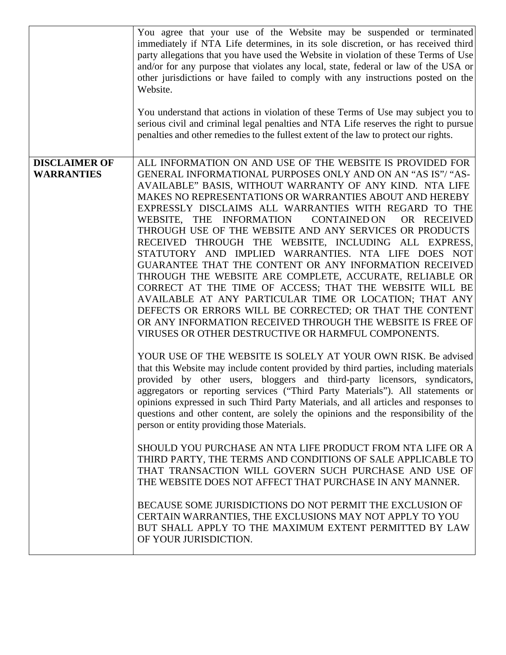|                                           | You agree that your use of the Website may be suspended or terminated<br>immediately if NTA Life determines, in its sole discretion, or has received third<br>party allegations that you have used the Website in violation of these Terms of Use<br>and/or for any purpose that violates any local, state, federal or law of the USA or<br>other jurisdictions or have failed to comply with any instructions posted on the<br>Website.<br>You understand that actions in violation of these Terms of Use may subject you to<br>serious civil and criminal legal penalties and NTA Life reserves the right to pursue<br>penalties and other remedies to the fullest extent of the law to protect our rights. |
|-------------------------------------------|---------------------------------------------------------------------------------------------------------------------------------------------------------------------------------------------------------------------------------------------------------------------------------------------------------------------------------------------------------------------------------------------------------------------------------------------------------------------------------------------------------------------------------------------------------------------------------------------------------------------------------------------------------------------------------------------------------------|
|                                           |                                                                                                                                                                                                                                                                                                                                                                                                                                                                                                                                                                                                                                                                                                               |
| <b>DISCLAIMER OF</b><br><b>WARRANTIES</b> | ALL INFORMATION ON AND USE OF THE WEBSITE IS PROVIDED FOR<br>GENERAL INFORMATIONAL PURPOSES ONLY AND ON AN "AS IS"/ "AS-<br>AVAILABLE" BASIS, WITHOUT WARRANTY OF ANY KIND. NTA LIFE                                                                                                                                                                                                                                                                                                                                                                                                                                                                                                                          |
|                                           | MAKES NO REPRESENTATIONS OR WARRANTIES ABOUT AND HEREBY                                                                                                                                                                                                                                                                                                                                                                                                                                                                                                                                                                                                                                                       |
|                                           | EXPRESSLY DISCLAIMS ALL WARRANTIES WITH REGARD TO THE                                                                                                                                                                                                                                                                                                                                                                                                                                                                                                                                                                                                                                                         |
|                                           | WEBSITE, THE INFORMATION<br><b>CONTAINED ON</b><br>OR RECEIVED                                                                                                                                                                                                                                                                                                                                                                                                                                                                                                                                                                                                                                                |
|                                           | THROUGH USE OF THE WEBSITE AND ANY SERVICES OR PRODUCTS                                                                                                                                                                                                                                                                                                                                                                                                                                                                                                                                                                                                                                                       |
|                                           | RECEIVED THROUGH THE WEBSITE, INCLUDING ALL EXPRESS,                                                                                                                                                                                                                                                                                                                                                                                                                                                                                                                                                                                                                                                          |
|                                           | STATUTORY AND IMPLIED WARRANTIES. NTA LIFE DOES NOT                                                                                                                                                                                                                                                                                                                                                                                                                                                                                                                                                                                                                                                           |
|                                           | GUARANTEE THAT THE CONTENT OR ANY INFORMATION RECEIVED                                                                                                                                                                                                                                                                                                                                                                                                                                                                                                                                                                                                                                                        |
|                                           | THROUGH THE WEBSITE ARE COMPLETE, ACCURATE, RELIABLE OR                                                                                                                                                                                                                                                                                                                                                                                                                                                                                                                                                                                                                                                       |
|                                           | CORRECT AT THE TIME OF ACCESS; THAT THE WEBSITE WILL BE                                                                                                                                                                                                                                                                                                                                                                                                                                                                                                                                                                                                                                                       |
|                                           | AVAILABLE AT ANY PARTICULAR TIME OR LOCATION; THAT ANY<br>DEFECTS OR ERRORS WILL BE CORRECTED; OR THAT THE CONTENT                                                                                                                                                                                                                                                                                                                                                                                                                                                                                                                                                                                            |
|                                           | OR ANY INFORMATION RECEIVED THROUGH THE WEBSITE IS FREE OF                                                                                                                                                                                                                                                                                                                                                                                                                                                                                                                                                                                                                                                    |
|                                           | VIRUSES OR OTHER DESTRUCTIVE OR HARMFUL COMPONENTS.                                                                                                                                                                                                                                                                                                                                                                                                                                                                                                                                                                                                                                                           |
|                                           |                                                                                                                                                                                                                                                                                                                                                                                                                                                                                                                                                                                                                                                                                                               |
|                                           | YOUR USE OF THE WEBSITE IS SOLELY AT YOUR OWN RISK. Be advised                                                                                                                                                                                                                                                                                                                                                                                                                                                                                                                                                                                                                                                |
|                                           | that this Website may include content provided by third parties, including materials<br>provided by other users, bloggers and third-party licensors, syndicators,                                                                                                                                                                                                                                                                                                                                                                                                                                                                                                                                             |
|                                           | aggregators or reporting services ("Third Party Materials"). All statements or                                                                                                                                                                                                                                                                                                                                                                                                                                                                                                                                                                                                                                |
|                                           | opinions expressed in such Third Party Materials, and all articles and responses to                                                                                                                                                                                                                                                                                                                                                                                                                                                                                                                                                                                                                           |
|                                           | questions and other content, are solely the opinions and the responsibility of the                                                                                                                                                                                                                                                                                                                                                                                                                                                                                                                                                                                                                            |
|                                           | person or entity providing those Materials.                                                                                                                                                                                                                                                                                                                                                                                                                                                                                                                                                                                                                                                                   |
|                                           | SHOULD YOU PURCHASE AN NTA LIFE PRODUCT FROM NTA LIFE OR A                                                                                                                                                                                                                                                                                                                                                                                                                                                                                                                                                                                                                                                    |
|                                           | THIRD PARTY, THE TERMS AND CONDITIONS OF SALE APPLICABLE TO                                                                                                                                                                                                                                                                                                                                                                                                                                                                                                                                                                                                                                                   |
|                                           | THAT TRANSACTION WILL GOVERN SUCH PURCHASE AND USE OF<br>THE WEBSITE DOES NOT AFFECT THAT PURCHASE IN ANY MANNER.                                                                                                                                                                                                                                                                                                                                                                                                                                                                                                                                                                                             |
|                                           |                                                                                                                                                                                                                                                                                                                                                                                                                                                                                                                                                                                                                                                                                                               |
|                                           | BECAUSE SOME JURISDICTIONS DO NOT PERMIT THE EXCLUSION OF<br>CERTAIN WARRANTIES, THE EXCLUSIONS MAY NOT APPLY TO YOU                                                                                                                                                                                                                                                                                                                                                                                                                                                                                                                                                                                          |
|                                           | BUT SHALL APPLY TO THE MAXIMUM EXTENT PERMITTED BY LAW                                                                                                                                                                                                                                                                                                                                                                                                                                                                                                                                                                                                                                                        |
|                                           | OF YOUR JURISDICTION.                                                                                                                                                                                                                                                                                                                                                                                                                                                                                                                                                                                                                                                                                         |
|                                           |                                                                                                                                                                                                                                                                                                                                                                                                                                                                                                                                                                                                                                                                                                               |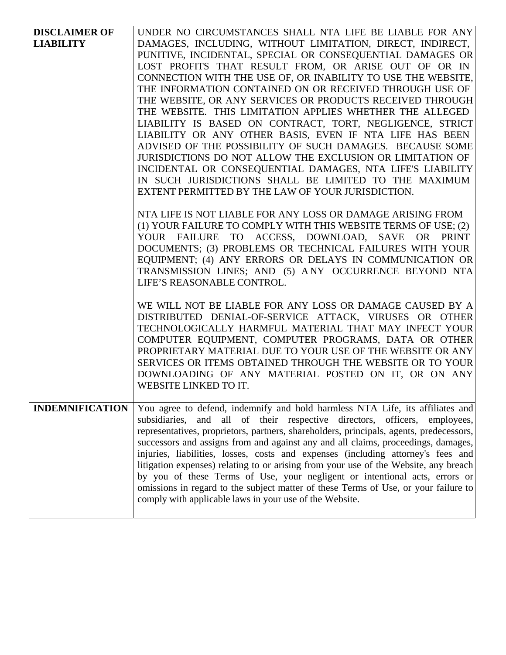| <b>DISCLAIMER OF</b>   | UNDER NO CIRCUMSTANCES SHALL NTA LIFE BE LIABLE FOR ANY                                                           |
|------------------------|-------------------------------------------------------------------------------------------------------------------|
| <b>LIABILITY</b>       | DAMAGES, INCLUDING, WITHOUT LIMITATION, DIRECT, INDIRECT,                                                         |
|                        | PUNITIVE, INCIDENTAL, SPECIAL OR CONSEQUENTIAL DAMAGES OR                                                         |
|                        | LOST PROFITS THAT RESULT FROM, OR ARISE OUT OF OR IN                                                              |
|                        | CONNECTION WITH THE USE OF, OR INABILITY TO USE THE WEBSITE,                                                      |
|                        | THE INFORMATION CONTAINED ON OR RECEIVED THROUGH USE OF                                                           |
|                        | THE WEBSITE, OR ANY SERVICES OR PRODUCTS RECEIVED THROUGH                                                         |
|                        | THE WEBSITE. THIS LIMITATION APPLIES WHETHER THE ALLEGED                                                          |
|                        | LIABILITY IS BASED ON CONTRACT, TORT, NEGLIGENCE, STRICT                                                          |
|                        | LIABILITY OR ANY OTHER BASIS, EVEN IF NTA LIFE HAS BEEN                                                           |
|                        | ADVISED OF THE POSSIBILITY OF SUCH DAMAGES. BECAUSE SOME                                                          |
|                        | JURISDICTIONS DO NOT ALLOW THE EXCLUSION OR LIMITATION OF                                                         |
|                        | INCIDENTAL OR CONSEQUENTIAL DAMAGES, NTA LIFE'S LIABILITY                                                         |
|                        | IN SUCH JURISDICTIONS SHALL BE LIMITED TO THE MAXIMUM                                                             |
|                        | EXTENT PERMITTED BY THE LAW OF YOUR JURISDICTION.                                                                 |
|                        |                                                                                                                   |
|                        | NTA LIFE IS NOT LIABLE FOR ANY LOSS OR DAMAGE ARISING FROM                                                        |
|                        | (1) YOUR FAILURE TO COMPLY WITH THIS WEBSITE TERMS OF USE; (2)<br>YOUR FAILURE TO ACCESS, DOWNLOAD, SAVE OR PRINT |
|                        | DOCUMENTS; (3) PROBLEMS OR TECHNICAL FAILURES WITH YOUR                                                           |
|                        | EQUIPMENT; (4) ANY ERRORS OR DELAYS IN COMMUNICATION OR                                                           |
|                        | TRANSMISSION LINES; AND (5) ANY OCCURRENCE BEYOND NTA                                                             |
|                        | LIFE'S REASONABLE CONTROL.                                                                                        |
|                        |                                                                                                                   |
|                        | WE WILL NOT BE LIABLE FOR ANY LOSS OR DAMAGE CAUSED BY A                                                          |
|                        | DISTRIBUTED DENIAL-OF-SERVICE ATTACK, VIRUSES OR OTHER                                                            |
|                        | TECHNOLOGICALLY HARMFUL MATERIAL THAT MAY INFECT YOUR                                                             |
|                        | COMPUTER EQUIPMENT, COMPUTER PROGRAMS, DATA OR OTHER                                                              |
|                        | PROPRIETARY MATERIAL DUE TO YOUR USE OF THE WEBSITE OR ANY                                                        |
|                        | SERVICES OR ITEMS OBTAINED THROUGH THE WEBSITE OR TO YOUR                                                         |
|                        | DOWNLOADING OF ANY MATERIAL POSTED ON IT, OR ON ANY                                                               |
|                        | WEBSITE LINKED TO IT.                                                                                             |
|                        |                                                                                                                   |
| <b>INDEMNIFICATION</b> | You agree to defend, indemnify and hold harmless NTA Life, its affiliates and                                     |
|                        | subsidiaries, and all of their respective directors, officers, employees,                                         |
|                        | representatives, proprietors, partners, shareholders, principals, agents, predecessors,                           |
|                        | successors and assigns from and against any and all claims, proceedings, damages,                                 |
|                        | injuries, liabilities, losses, costs and expenses (including attorney's fees and                                  |
|                        | litigation expenses) relating to or arising from your use of the Website, any breach                              |
|                        | by you of these Terms of Use, your negligent or intentional acts, errors or                                       |
|                        | omissions in regard to the subject matter of these Terms of Use, or your failure to                               |
|                        | comply with applicable laws in your use of the Website.                                                           |
|                        |                                                                                                                   |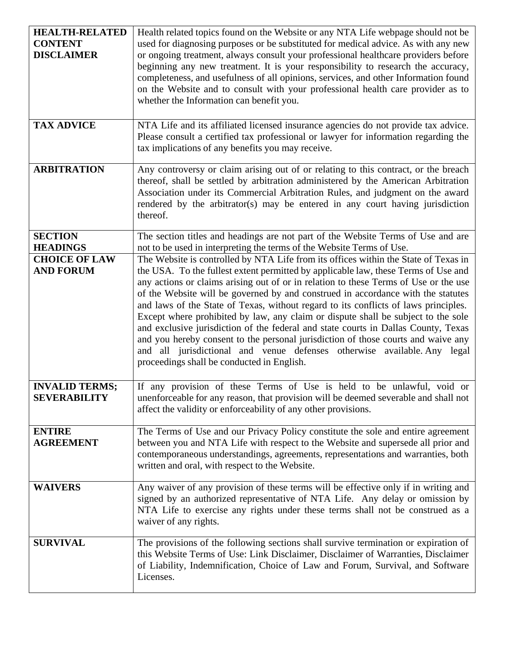| <b>HEALTH-RELATED</b><br><b>CONTENT</b><br><b>DISCLAIMER</b> | Health related topics found on the Website or any NTA Life webpage should not be<br>used for diagnosing purposes or be substituted for medical advice. As with any new<br>or ongoing treatment, always consult your professional healthcare providers before<br>beginning any new treatment. It is your responsibility to research the accuracy,<br>completeness, and usefulness of all opinions, services, and other Information found<br>on the Website and to consult with your professional health care provider as to<br>whether the Information can benefit you.                                                                                                                                                                          |
|--------------------------------------------------------------|-------------------------------------------------------------------------------------------------------------------------------------------------------------------------------------------------------------------------------------------------------------------------------------------------------------------------------------------------------------------------------------------------------------------------------------------------------------------------------------------------------------------------------------------------------------------------------------------------------------------------------------------------------------------------------------------------------------------------------------------------|
| <b>TAX ADVICE</b>                                            | NTA Life and its affiliated licensed insurance agencies do not provide tax advice.<br>Please consult a certified tax professional or lawyer for information regarding the<br>tax implications of any benefits you may receive.                                                                                                                                                                                                                                                                                                                                                                                                                                                                                                                  |
| <b>ARBITRATION</b>                                           | Any controversy or claim arising out of or relating to this contract, or the breach<br>thereof, shall be settled by arbitration administered by the American Arbitration<br>Association under its Commercial Arbitration Rules, and judgment on the award<br>rendered by the arbitrator(s) may be entered in any court having jurisdiction<br>thereof.                                                                                                                                                                                                                                                                                                                                                                                          |
| <b>SECTION</b>                                               | The section titles and headings are not part of the Website Terms of Use and are                                                                                                                                                                                                                                                                                                                                                                                                                                                                                                                                                                                                                                                                |
| <b>HEADINGS</b><br><b>CHOICE OF LAW</b>                      | not to be used in interpreting the terms of the Website Terms of Use.<br>The Website is controlled by NTA Life from its offices within the State of Texas in                                                                                                                                                                                                                                                                                                                                                                                                                                                                                                                                                                                    |
| <b>AND FORUM</b>                                             | the USA. To the fullest extent permitted by applicable law, these Terms of Use and<br>any actions or claims arising out of or in relation to these Terms of Use or the use<br>of the Website will be governed by and construed in accordance with the statutes<br>and laws of the State of Texas, without regard to its conflicts of laws principles.<br>Except where prohibited by law, any claim or dispute shall be subject to the sole<br>and exclusive jurisdiction of the federal and state courts in Dallas County, Texas<br>and you hereby consent to the personal jurisdiction of those courts and waive any<br>and all jurisdictional and venue defenses otherwise available. Any legal<br>proceedings shall be conducted in English. |
| <b>INVALID TERMS;</b><br><b>SEVERABILITY</b>                 | If any provision of these Terms of Use is held to be unlawful, void or<br>unenforceable for any reason, that provision will be deemed severable and shall not<br>affect the validity or enforceability of any other provisions.                                                                                                                                                                                                                                                                                                                                                                                                                                                                                                                 |
| <b>ENTIRE</b><br><b>AGREEMENT</b>                            | The Terms of Use and our Privacy Policy constitute the sole and entire agreement<br>between you and NTA Life with respect to the Website and supersede all prior and<br>contemporaneous understandings, agreements, representations and warranties, both<br>written and oral, with respect to the Website.                                                                                                                                                                                                                                                                                                                                                                                                                                      |
| <b>WAIVERS</b>                                               | Any waiver of any provision of these terms will be effective only if in writing and<br>signed by an authorized representative of NTA Life. Any delay or omission by<br>NTA Life to exercise any rights under these terms shall not be construed as a<br>waiver of any rights.                                                                                                                                                                                                                                                                                                                                                                                                                                                                   |
| <b>SURVIVAL</b>                                              | The provisions of the following sections shall survive termination or expiration of<br>this Website Terms of Use: Link Disclaimer, Disclaimer of Warranties, Disclaimer<br>of Liability, Indemnification, Choice of Law and Forum, Survival, and Software<br>Licenses.                                                                                                                                                                                                                                                                                                                                                                                                                                                                          |